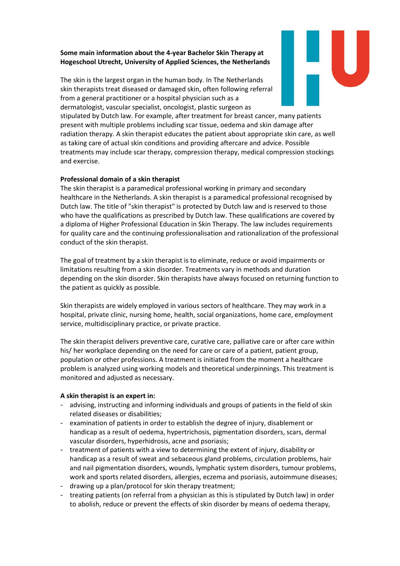## **Some main information about the 4-year Bachelor Skin Therapy at Hogeschool Utrecht, University of Applied Sciences, the Netherlands**

The skin is the largest organ in the human body. In The Netherlands skin therapists treat diseased or damaged skin, often following referral from a general practitioner or a hospital physician such as a dermatologist, vascular specialist, oncologist, plastic surgeon as stipulated by Dutch law. For example, after treatment for breast cancer, many patients present with multiple problems including scar tissue, oedema and skin damage after radiation therapy. A skin therapist educates the patient about appropriate skin care, as well as taking care of actual skin conditions and providing aftercare and advice. Possible treatments may include scar therapy, compression therapy, medical compression stockings

## **Professional domain of a skin therapist**

and exercise.

The skin therapist is a paramedical professional working in primary and secondary healthcare in the Netherlands. A skin therapist is a paramedical professional recognised by Dutch law. The title of "skin therapist" is protected by Dutch law and is reserved to those who have the qualifications as prescribed by Dutch law. These qualifications are covered by a diploma of Higher Professional Education in Skin Therapy. The law includes requirements for quality care and the continuing professionalisation and rationalization of the professional conduct of the skin therapist.

The goal of treatment by a skin therapist is to eliminate, reduce or avoid impairments or limitations resulting from a skin disorder. Treatments vary in methods and duration depending on the skin disorder. Skin therapists have always focused on returning function to the patient as quickly as possible.

Skin therapists are widely employed in various sectors of healthcare. They may work in a hospital, private clinic, nursing home, health, social organizations, home care, employment service, multidisciplinary practice, or private practice.

The skin therapist delivers preventive care, curative care, palliative care or after care within his/ her workplace depending on the need for care or care of a patient, patient group, population or other professions. A treatment is initiated from the moment a healthcare problem is analyzed using working models and theoretical underpinnings. This treatment is monitored and adjusted as necessary.

## **A skin therapist is an expert in:**

- advising, instructing and informing individuals and groups of patients in the field of skin related diseases or disabilities;
- examination of patients in order to establish the degree of injury, disablement or handicap as a result of oedema, hypertrichosis, pigmentation disorders, scars, dermal vascular disorders, hyperhidrosis, acne and psoriasis;
- treatment of patients with a view to determining the extent of injury, disability or handicap as a result of sweat and sebaceous gland problems, circulation problems, hair and nail pigmentation disorders, wounds, lymphatic system disorders, tumour problems, work and sports related disorders, allergies, eczema and psoriasis, autoimmune diseases;
- drawing up a plan/protocol for skin therapy treatment;
- treating patients (on referral from a physician as this is stipulated by Dutch law) in order to abolish, reduce or prevent the effects of skin disorder by means of oedema therapy,